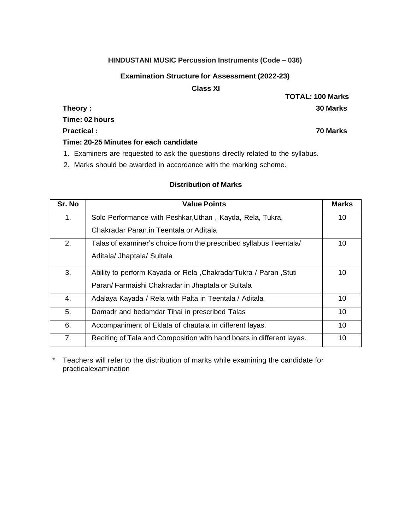### **HINDUSTANI MUSIC Percussion Instruments (Code – 036)**

## **Examination Structure for Assessment (2022-23)**

## **Class XI**

**Time: 02 hours**

**Practical : 70 Marks**

### **Time: 20-25 Minutes for each candidate**

- 1. Examiners are requested to ask the questions directly related to the syllabus.
- 2. Marks should be awarded in accordance with the marking scheme.

# **Distribution of Marks**

| Sr. No | <b>Value Points</b>                                                  | <b>Marks</b> |
|--------|----------------------------------------------------------------------|--------------|
| 1.     | Solo Performance with Peshkar, Uthan, Kayda, Rela, Tukra,            | 10           |
|        | Chakradar Paran in Teentala or Aditala                               |              |
| 2.     | Talas of examiner's choice from the prescribed syllabus Teentala/    | 10           |
|        | Aditala/ Jhaptala/ Sultala                                           |              |
| 3.     | Ability to perform Kayada or Rela, ChakradarTukra / Paran, Stuti     | 10           |
|        | Paran/ Farmaishi Chakradar in Jhaptala or Sultala                    |              |
| 4.     | Adalaya Kayada / Rela with Palta in Teentala / Aditala               | 10           |
| 5.     | Damadr and bedamdar Tihai in prescribed Talas                        | 10           |
| 6.     | Accompaniment of Eklata of chautala in different layas.              | 10           |
| 7.     | Reciting of Tala and Composition with hand boats in different layas. | 10           |

\* Teachers will refer to the distribution of marks while examining the candidate for practicalexamination

**TOTAL: 100 Marks Theory : 30 Marks**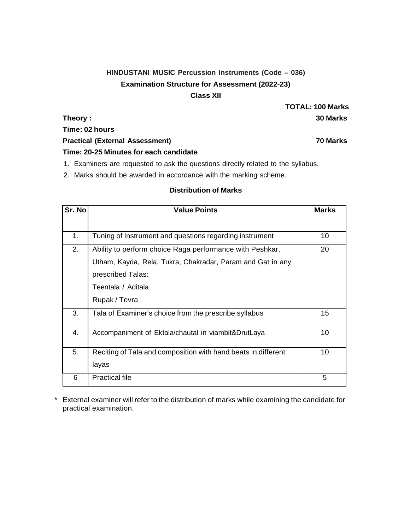# **HINDUSTANI MUSIC Percussion Instruments (Code – 036) Examination Structure for Assessment (2022-23) Class XII**

**Time: 02 hours**

**Practical (External Assessment) 70 Marks**

**Time: 20-25 Minutes for each candidate**

- 1. Examiners are requested to ask the questions directly related to the syllabus.
- 2. Marks should be awarded in accordance with the marking scheme.

## **Distribution of Marks**

| Sr. No | <b>Value Points</b>                                           |    |
|--------|---------------------------------------------------------------|----|
|        |                                                               |    |
| 1.     | Tuning of Instrument and questions regarding instrument       | 10 |
| 2.     | Ability to perform choice Raga performance with Peshkar,      | 20 |
|        | Utham, Kayda, Rela, Tukra, Chakradar, Param and Gat in any    |    |
|        | prescribed Talas:                                             |    |
|        | Teentala / Aditala                                            |    |
|        | Rupak / Tevra                                                 |    |
| 3.     | Tala of Examiner's choice from the prescribe syllabus         | 15 |
| 4.     | Accompaniment of Ektala/chautal in viambit&DrutLaya           | 10 |
| 5.     | Reciting of Tala and composition with hand beats in different | 10 |
|        | layas                                                         |    |
| 6      | <b>Practical file</b>                                         | 5  |

\* External examiner will refer to the distribution of marks while examining the candidate for practical examination.

**TOTAL: 100 Marks Theory : 30 Marks**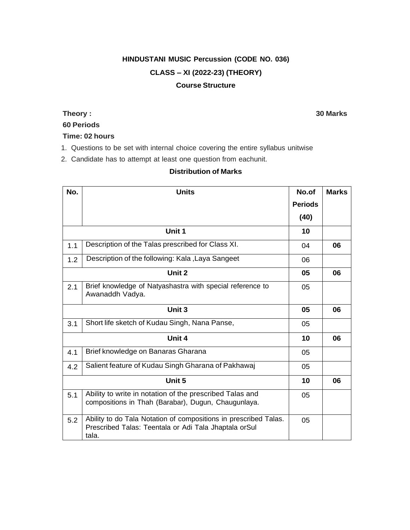# **HINDUSTANI MUSIC Percussion (CODE NO. 036) CLASS – XI (2022-23) (THEORY) Course Structure**

# **60 Periods**

## **Time: 02 hours**

- 1. Questions to be set with internal choice covering the entire syllabus unitwise
- 2. Candidate has to attempt at least one question from eachunit.

## **Distribution of Marks**

| No. | <b>Units</b>                                                                                                                       | No.of          | <b>Marks</b> |
|-----|------------------------------------------------------------------------------------------------------------------------------------|----------------|--------------|
|     |                                                                                                                                    | <b>Periods</b> |              |
|     |                                                                                                                                    | (40)           |              |
|     | Unit 1                                                                                                                             | 10             |              |
| 1.1 | Description of the Talas prescribed for Class XI.                                                                                  | 04             | 06           |
| 1.2 | Description of the following: Kala, Laya Sangeet                                                                                   | 06             |              |
|     | Unit 2                                                                                                                             | 05             | 06           |
| 2.1 | Brief knowledge of Natyashastra with special reference to<br>Awanaddh Vadya.                                                       | 05             |              |
|     | Unit 3                                                                                                                             | 05             | 06           |
| 3.1 | Short life sketch of Kudau Singh, Nana Panse,                                                                                      | 05             |              |
|     | Unit 4                                                                                                                             | 10             | 06           |
| 4.1 | Brief knowledge on Banaras Gharana                                                                                                 | 05             |              |
| 4.2 | Salient feature of Kudau Singh Gharana of Pakhawaj                                                                                 | 05             |              |
|     | Unit 5                                                                                                                             | 10             | 06           |
| 5.1 | Ability to write in notation of the prescribed Talas and<br>compositions in Thah (Barabar), Dugun, Chaugunlaya.                    | 05             |              |
| 5.2 | Ability to do Tala Notation of compositions in prescribed Talas.<br>Prescribed Talas: Teentala or Adi Tala Jhaptala orSul<br>tala. | 05             |              |

### **Theory : 30 Marks**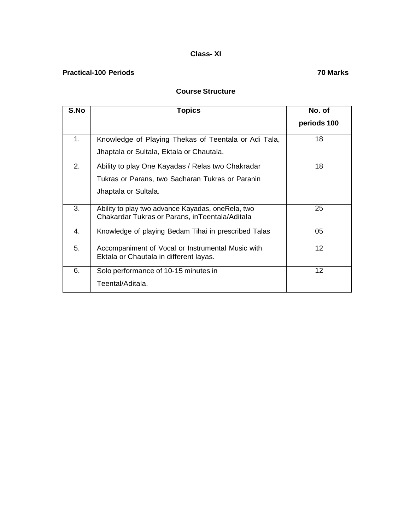# **Class- XI**

# **Practical-100 Periods 70 Marks**

## **Course Structure**

| S.No | <b>Topics</b>                                                                                       | No. of            |
|------|-----------------------------------------------------------------------------------------------------|-------------------|
|      |                                                                                                     | periods 100       |
| 1.   | Knowledge of Playing Thekas of Teentala or Adi Tala,                                                | 18                |
|      | Jhaptala or Sultala, Ektala or Chautala.                                                            |                   |
| 2.   | Ability to play One Kayadas / Relas two Chakradar                                                   | 18                |
|      | Tukras or Parans, two Sadharan Tukras or Paranin                                                    |                   |
|      | Jhaptala or Sultala.                                                                                |                   |
| 3.   | Ability to play two advance Kayadas, oneRela, two<br>Chakardar Tukras or Parans, inTeentala/Aditala | 25                |
| 4.   | Knowledge of playing Bedam Tihai in prescribed Talas                                                | 05                |
| 5.   | Accompaniment of Vocal or Instrumental Music with<br>Ektala or Chautala in different layas.         | 12                |
| 6.   | Solo performance of 10-15 minutes in                                                                | $12 \overline{ }$ |
|      | Teental/Aditala.                                                                                    |                   |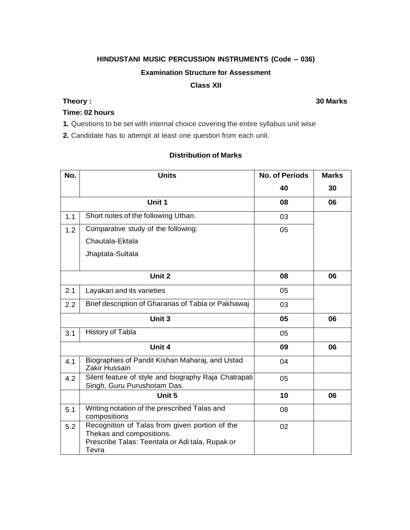# **HINDUSTANI MUSIC PERCUSSION INSTRUMENTS (Code – 036)**

### **Examination Structure for Assessment**

### **Class XII**

# **Time: 02 hours**

**1.** Questions to be set with internal choice covering the entire syllabus unit wise

**2.** Candidate has to attempt at least one question from each unit.

# **Distribution of Marks**

| No. | <b>Units</b>                                                                                                                           | <b>No. of Periods</b> | <b>Marks</b> |
|-----|----------------------------------------------------------------------------------------------------------------------------------------|-----------------------|--------------|
|     |                                                                                                                                        | 40                    | 30           |
|     | Unit 1                                                                                                                                 | 08                    | 06           |
| 1.1 | Short notes of the following Uthan.                                                                                                    | 03                    |              |
| 1.2 | Comparative study of the following:                                                                                                    | 05                    |              |
|     | Chautala-Ektala                                                                                                                        |                       |              |
|     | Jhaptala-Sultala                                                                                                                       |                       |              |
|     |                                                                                                                                        |                       |              |
|     | Unit 2                                                                                                                                 | 08                    | 06           |
| 2.1 | Layakari and its varieties                                                                                                             | 05                    |              |
| 2.2 | Brief description of Gharanas of Tabla or Pakhawaj                                                                                     | 03                    |              |
|     | Unit 3                                                                                                                                 | 05                    | 06           |
| 3.1 | History of Tabla                                                                                                                       | 05                    |              |
|     | Unit 4                                                                                                                                 | 09                    | 06           |
| 4.1 | Biographies of Pandit Kishan Maharaj, and Ustad<br>Zakir Hussain                                                                       | 04                    |              |
| 4.2 | Silent feature of style and biography Raja Chatrapati<br>Singh, Guru Purushotam Das.                                                   | 05                    |              |
|     | Unit 5                                                                                                                                 | 10                    | 06           |
| 5.1 | Writing notation of the prescribed Talas and<br>compositions                                                                           | 08                    |              |
| 5.2 | Recognition of Talas from given portion of the<br>Thekas and compositions.<br>Prescribe Talas: Teentala or Adi tala, Rupak or<br>Tevra | 02                    |              |

# **Theory : 30 Marks**